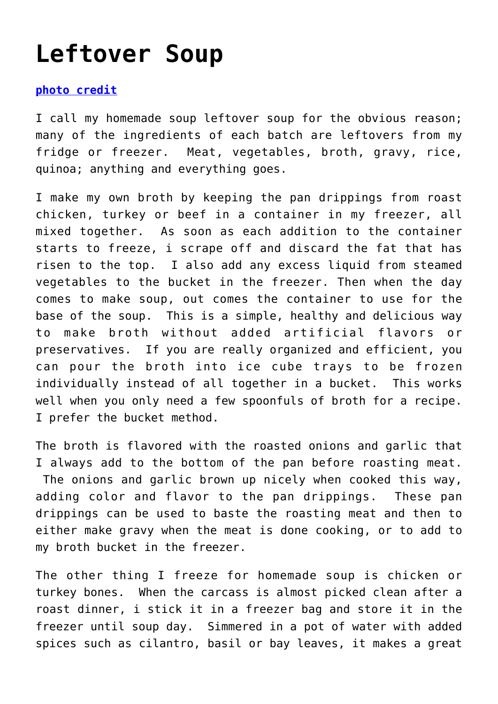## **[Leftover Soup](https://loreeebee.ca/2014/11/23/leftover-soup/)**

## **[photo credit](#page--1-0)**

I call my homemade soup leftover soup for the obvious reason; many of the ingredients of each batch are leftovers from my fridge or freezer. Meat, vegetables, broth, gravy, rice, quinoa; anything and everything goes.

I make my own broth by keeping the pan drippings from roast chicken, turkey or beef in a container in my freezer, all mixed together. As soon as each addition to the container starts to freeze, i scrape off and discard the fat that has risen to the top. I also add any excess liquid from steamed vegetables to the bucket in the freezer. Then when the day comes to make soup, out comes the container to use for the base of the soup. This is a simple, healthy and delicious way to make broth without added artificial flavors or preservatives. If you are really organized and efficient, you can pour the broth into ice cube trays to be frozen individually instead of all together in a bucket. This works well when you only need a few spoonfuls of broth for a recipe. I prefer the bucket method.

The broth is flavored with the roasted onions and garlic that I always add to the bottom of the pan before roasting meat. The onions and garlic brown up nicely when cooked this way, adding color and flavor to the pan drippings. These pan drippings can be used to baste the roasting meat and then to either make gravy when the meat is done cooking, or to add to my broth bucket in the freezer.

The other thing I freeze for homemade soup is chicken or turkey bones. When the carcass is almost picked clean after a roast dinner, i stick it in a freezer bag and store it in the freezer until soup day. Simmered in a pot of water with added spices such as cilantro, basil or bay leaves, it makes a great